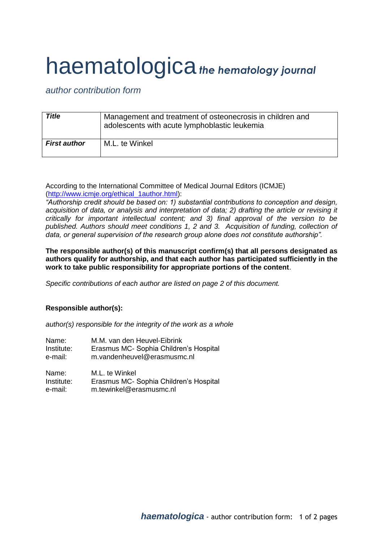## haematologica*the hematology journal*

*author contribution form*

| <b>Title</b>        | Management and treatment of osteonecrosis in children and<br>adolescents with acute lymphoblastic leukemia |
|---------------------|------------------------------------------------------------------------------------------------------------|
| <b>First author</b> | M.L. te Winkel                                                                                             |

According to the International Committee of Medical Journal Editors (ICMJE) [\(http://www.icmje.org/ethical\\_1author.html\)](http://www.icmje.org/ethical_1author.html):

*"Authorship credit should be based on: 1) substantial contributions to conception and design, acquisition of data, or analysis and interpretation of data; 2) drafting the article or revising it critically for important intellectual content; and 3) final approval of the version to be published. Authors should meet conditions 1, 2 and 3. Acquisition of funding, collection of data, or general supervision of the research group alone does not constitute authorship".*

**The responsible author(s) of this manuscript confirm(s) that all persons designated as authors qualify for authorship, and that each author has participated sufficiently in the work to take public responsibility for appropriate portions of the content**.

*Specific contributions of each author are listed on page 2 of this document.*

## **Responsible author(s):**

*author(s) responsible for the integrity of the work as a whole*

| Name:      | M.M. van den Heuvel-Eibrink            |
|------------|----------------------------------------|
| Institute: | Erasmus MC- Sophia Children's Hospital |
| e-mail:    | m.vandenheuvel@erasmusmc.nl            |
| Name:      | M.L. te Winkel                         |
| Institute: | Erasmus MC- Sophia Children's Hospital |
| e-mail:    | m.tewinkel@erasmusmc.nl                |